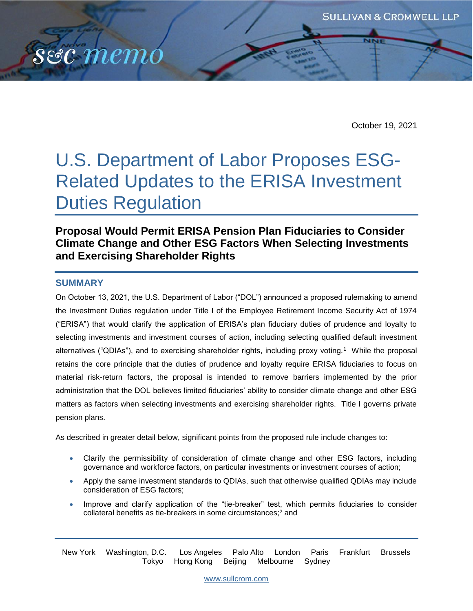

# U.S. Department of Labor Proposes ESG-Related Updates to the ERISA Investment Duties Regulation

# **Proposal Would Permit ERISA Pension Plan Fiduciaries to Consider Climate Change and Other ESG Factors When Selecting Investments and Exercising Shareholder Rights**

## **SUMMARY**

s&c memo

On October 13, 2021, the U.S. Department of Labor ("DOL") announced a proposed rulemaking to amend the Investment Duties regulation under Title I of the Employee Retirement Income Security Act of 1974 ("ERISA") that would clarify the application of ERISA's plan fiduciary duties of prudence and loyalty to selecting investments and investment courses of action, including selecting qualified default investment alternatives ("QDIAs"), and to exercising shareholder rights, including proxy voting.<sup>1</sup> While the proposal retains the core principle that the duties of prudence and loyalty require ERISA fiduciaries to focus on material risk-return factors, the proposal is intended to remove barriers implemented by the prior administration that the DOL believes limited fiduciaries' ability to consider climate change and other ESG matters as factors when selecting investments and exercising shareholder rights. Title I governs private pension plans.

As described in greater detail below, significant points from the proposed rule include changes to:

- Clarify the permissibility of consideration of climate change and other ESG factors, including governance and workforce factors, on particular investments or investment courses of action;
- Apply the same investment standards to QDIAs, such that otherwise qualified QDIAs may include consideration of ESG factors;
- Improve and clarify application of the "tie-breaker" test, which permits fiduciaries to consider collateral benefits as tie-breakers in some circumstances;<sup>2</sup> and

New York Washington, D.C. Los Angeles Palo Alto London Paris Frankfurt Brussels Tokyo Hong Kong Beijing Melbourne Sydney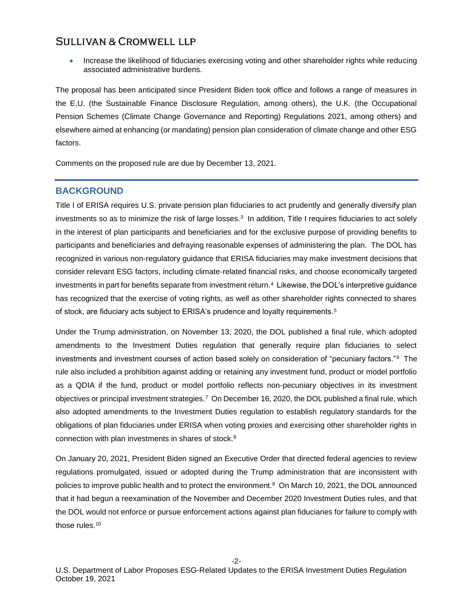Increase the likelihood of fiduciaries exercising voting and other shareholder rights while reducing associated administrative burdens.

The proposal has been anticipated since President Biden took office and follows a range of measures in the E.U. (the Sustainable Finance Disclosure Regulation, among others), the U.K. (the Occupational Pension Schemes (Climate Change Governance and Reporting) Regulations 2021, among others) and elsewhere aimed at enhancing (or mandating) pension plan consideration of climate change and other ESG factors.

Comments on the proposed rule are due by December 13, 2021.

## **BACKGROUND**

Title I of ERISA requires U.S. private pension plan fiduciaries to act prudently and generally diversify plan investments so as to minimize the risk of large losses.<sup>3</sup> In addition, Title I requires fiduciaries to act solely in the interest of plan participants and beneficiaries and for the exclusive purpose of providing benefits to participants and beneficiaries and defraying reasonable expenses of administering the plan. The DOL has recognized in various non-regulatory guidance that ERISA fiduciaries may make investment decisions that consider relevant ESG factors, including climate-related financial risks, and choose economically targeted investments in part for benefits separate from investment return.<sup>4</sup> Likewise, the DOL's interpretive guidance has recognized that the exercise of voting rights, as well as other shareholder rights connected to shares of stock, are fiduciary acts subject to ERISA's prudence and loyalty requirements.<sup>5</sup>

Under the Trump administration, on November 13, 2020, the DOL published a final rule, which adopted amendments to the Investment Duties regulation that generally require plan fiduciaries to select investments and investment courses of action based solely on consideration of "pecuniary factors."<sup>6</sup> The rule also included a prohibition against adding or retaining any investment fund, product or model portfolio as a QDIA if the fund, product or model portfolio reflects non-pecuniary objectives in its investment objectives or principal investment strategies.<sup>7</sup> On December 16, 2020, the DOL published a final rule, which also adopted amendments to the Investment Duties regulation to establish regulatory standards for the obligations of plan fiduciaries under ERISA when voting proxies and exercising other shareholder rights in connection with plan investments in shares of stock.<sup>8</sup>

On January 20, 2021, President Biden signed an Executive Order that directed federal agencies to review regulations promulgated, issued or adopted during the Trump administration that are inconsistent with policies to improve public health and to protect the environment.<sup>9</sup> On March 10, 2021, the DOL announced that it had begun a reexamination of the November and December 2020 Investment Duties rules, and that the DOL would not enforce or pursue enforcement actions against plan fiduciaries for failure to comply with those rules.10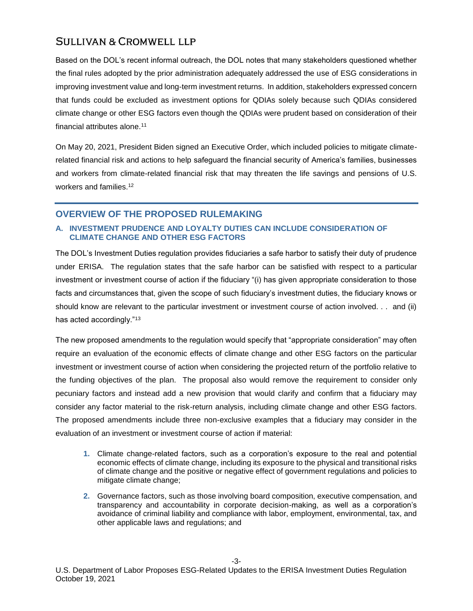Based on the DOL's recent informal outreach, the DOL notes that many stakeholders questioned whether the final rules adopted by the prior administration adequately addressed the use of ESG considerations in improving investment value and long-term investment returns. In addition, stakeholders expressed concern that funds could be excluded as investment options for QDIAs solely because such QDIAs considered climate change or other ESG factors even though the QDIAs were prudent based on consideration of their financial attributes alone.<sup>11</sup>

On May 20, 2021, President Biden signed an Executive Order, which included policies to mitigate climaterelated financial risk and actions to help safeguard the financial security of America's families, businesses and workers from climate-related financial risk that may threaten the life savings and pensions of U.S. workers and families.<sup>12</sup>

## **OVERVIEW OF THE PROPOSED RULEMAKING**

## **A. INVESTMENT PRUDENCE AND LOYALTY DUTIES CAN INCLUDE CONSIDERATION OF CLIMATE CHANGE AND OTHER ESG FACTORS**

The DOL's Investment Duties regulation provides fiduciaries a safe harbor to satisfy their duty of prudence under ERISA. The regulation states that the safe harbor can be satisfied with respect to a particular investment or investment course of action if the fiduciary "(i) has given appropriate consideration to those facts and circumstances that, given the scope of such fiduciary's investment duties, the fiduciary knows or should know are relevant to the particular investment or investment course of action involved. . . and (ii) has acted accordingly."<sup>13</sup>

The new proposed amendments to the regulation would specify that "appropriate consideration" may often require an evaluation of the economic effects of climate change and other ESG factors on the particular investment or investment course of action when considering the projected return of the portfolio relative to the funding objectives of the plan. The proposal also would remove the requirement to consider only pecuniary factors and instead add a new provision that would clarify and confirm that a fiduciary may consider any factor material to the risk-return analysis, including climate change and other ESG factors. The proposed amendments include three non-exclusive examples that a fiduciary may consider in the evaluation of an investment or investment course of action if material:

- **1.** Climate change-related factors, such as a corporation's exposure to the real and potential economic effects of climate change, including its exposure to the physical and transitional risks of climate change and the positive or negative effect of government regulations and policies to mitigate climate change;
- **2.** Governance factors, such as those involving board composition, executive compensation, and transparency and accountability in corporate decision-making, as well as a corporation's avoidance of criminal liability and compliance with labor, employment, environmental, tax, and other applicable laws and regulations; and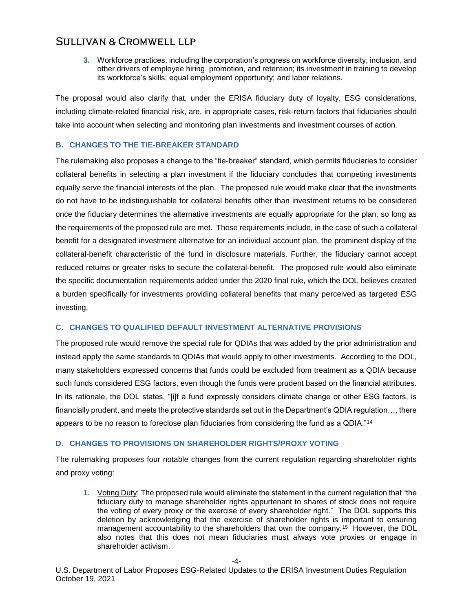**3.** Workforce practices, including the corporation's progress on workforce diversity, inclusion, and other drivers of employee hiring, promotion, and retention; its investment in training to develop its workforce's skills; equal employment opportunity; and labor relations.

The proposal would also clarify that, under the ERISA fiduciary duty of loyalty, ESG considerations, including climate-related financial risk, are, in appropriate cases, risk-return factors that fiduciaries should take into account when selecting and monitoring plan investments and investment courses of action.

#### **B. CHANGES TO THE TIE-BREAKER STANDARD**

The rulemaking also proposes a change to the "tie-breaker" standard, which permits fiduciaries to consider collateral benefits in selecting a plan investment if the fiduciary concludes that competing investments equally serve the financial interests of the plan. The proposed rule would make clear that the investments do not have to be indistinguishable for collateral benefits other than investment returns to be considered once the fiduciary determines the alternative investments are equally appropriate for the plan, so long as the requirements of the proposed rule are met. These requirements include, in the case of such a collateral benefit for a designated investment alternative for an individual account plan, the prominent display of the collateral-benefit characteristic of the fund in disclosure materials. Further, the fiduciary cannot accept reduced returns or greater risks to secure the collateral-benefit. The proposed rule would also eliminate the specific documentation requirements added under the 2020 final rule, which the DOL believes created a burden specifically for investments providing collateral benefits that many perceived as targeted ESG investing.

#### **C. CHANGES TO QUALIFIED DEFAULT INVESTMENT ALTERNATIVE PROVISIONS**

The proposed rule would remove the special rule for QDIAs that was added by the prior administration and instead apply the same standards to QDIAs that would apply to other investments. According to the DOL, many stakeholders expressed concerns that funds could be excluded from treatment as a QDIA because such funds considered ESG factors, even though the funds were prudent based on the financial attributes. In its rationale, the DOL states, "[i]f a fund expressly considers climate change or other ESG factors, is financially prudent, and meets the protective standards set out in the Department's QDIA regulation…, there appears to be no reason to foreclose plan fiduciaries from considering the fund as a QDIA."<sup>14</sup>

#### **D. CHANGES TO PROVISIONS ON SHAREHOLDER RIGHTS/PROXY VOTING**

The rulemaking proposes four notable changes from the current regulation regarding shareholder rights and proxy voting:

**1.** Voting Duty: The proposed rule would eliminate the statement in the current regulation that "the fiduciary duty to manage shareholder rights appurtenant to shares of stock does not require the voting of every proxy or the exercise of every shareholder right." The DOL supports this deletion by acknowledging that the exercise of shareholder rights is important to ensuring management accountability to the shareholders that own the company.<sup>15</sup> However, the DOL also notes that this does not mean fiduciaries must always vote proxies or engage in shareholder activism.

U.S. Department of Labor Proposes ESG-Related Updates to the ERISA Investment Duties Regulation October 19, 2021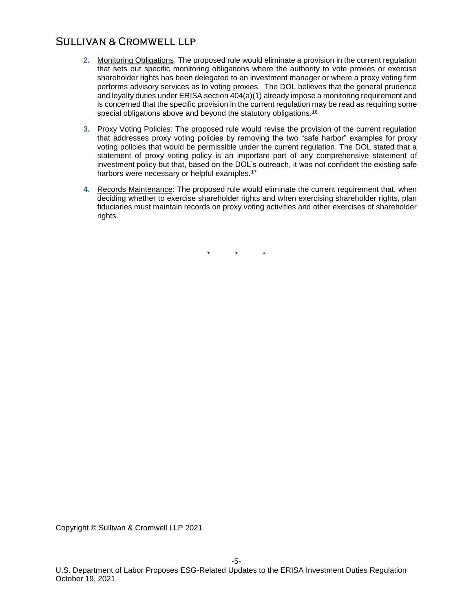- **2.** Monitoring Obligations: The proposed rule would eliminate a provision in the current regulation that sets out specific monitoring obligations where the authority to vote proxies or exercise shareholder rights has been delegated to an investment manager or where a proxy voting firm performs advisory services as to voting proxies. The DOL believes that the general prudence and loyalty duties under ERISA section 404(a)(1) already impose a monitoring requirement and is concerned that the specific provision in the current regulation may be read as requiring some special obligations above and beyond the statutory obligations.<sup>16</sup>
- **3.** Proxy Voting Policies: The proposed rule would revise the provision of the current regulation that addresses proxy voting policies by removing the two "safe harbor" examples for proxy voting policies that would be permissible under the current regulation. The DOL stated that a statement of proxy voting policy is an important part of any comprehensive statement of investment policy but that, based on the DOL's outreach, it was not confident the existing safe harbors were necessary or helpful examples.<sup>17</sup>
- **4.** Records Maintenance: The proposed rule would eliminate the current requirement that, when deciding whether to exercise shareholder rights and when exercising shareholder rights, plan fiduciaries must maintain records on proxy voting activities and other exercises of shareholder rights.

 $\star$ 

Copyright © Sullivan & Cromwell LLP 2021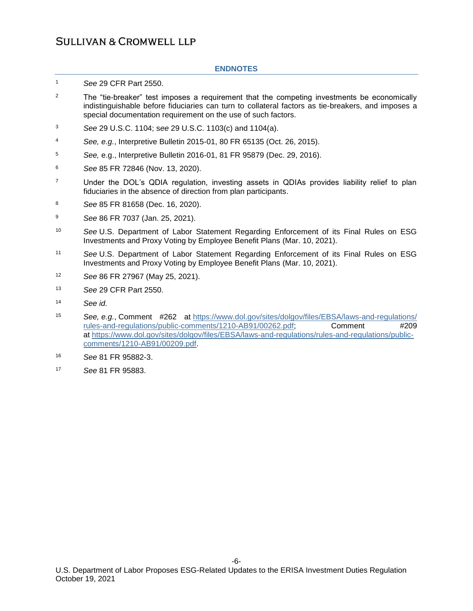#### **ENDNOTES**

- <sup>1</sup> *See* 29 CFR Part 2550.
- $2^2$  The "tie-breaker" test imposes a requirement that the competing investments be economically indistinguishable before fiduciaries can turn to collateral factors as tie-breakers, and imposes a special documentation requirement on the use of such factors.
- <sup>3</sup> *See* 29 U.S.C. 1104; s*ee* 29 U.S.C. 1103(c) and 1104(a).
- <sup>4</sup> *See, e.g.*, Interpretive Bulletin 2015-01, 80 FR 65135 (Oct. 26, 2015).
- <sup>5</sup> *See,* e.g., Interpretive Bulletin 2016-01, 81 FR 95879 (Dec. 29, 2016).
- <sup>6</sup> *See* 85 FR 72846 (Nov. 13, 2020).
- <sup>7</sup> Under the DOL's QDIA regulation, investing assets in QDIAs provides liability relief to plan fiduciaries in the absence of direction from plan participants.
- <sup>8</sup> *See* 85 FR 81658 (Dec. 16, 2020).
- <sup>9</sup> *See* 86 FR 7037 (Jan. 25, 2021).
- <sup>10</sup> *See* U.S. Department of Labor Statement Regarding Enforcement of its Final Rules on ESG Investments and Proxy Voting by Employee Benefit Plans (Mar. 10, 2021).
- <sup>11</sup> *See* U.S. Department of Labor Statement Regarding Enforcement of its Final Rules on ESG Investments and Proxy Voting by Employee Benefit Plans (Mar. 10, 2021).
- <sup>12</sup> *See* 86 FR 27967 (May 25, 2021).
- <sup>13</sup> *See* 29 CFR Part 2550.
- <sup>14</sup> *See id.*
- <sup>15</sup> *See, e.g.*, Comment #262 at [https://www.dol.gov/sites/dolgov/files/EBSA/laws-and-regulations/](https://www.dol.gov/sites/dolgov/files/EBSA/laws-and-regulations/rules-and-regulations/public-comments/1210-AB91/00262.pdf) [rules-and-regulations/public-comments/1210-AB91/00262.pdf;](https://www.dol.gov/sites/dolgov/files/EBSA/laws-and-regulations/rules-and-regulations/public-comments/1210-AB91/00262.pdf) Comment #209 at [https://www.dol.gov/sites/dolgov/files/EBSA/laws-and-regulations/rules-and-regulations/public](https://www.dol.gov/sites/dolgov/files/EBSA/laws-and-regulations/rules-and-regulations/public-comments/1210-AB91/00209.pdf)[comments/1210-AB91/00209.pdf.](https://www.dol.gov/sites/dolgov/files/EBSA/laws-and-regulations/rules-and-regulations/public-comments/1210-AB91/00209.pdf)
- <sup>16</sup> *See* 81 FR 95882-3.
- <sup>17</sup> *See* 81 FR 95883.